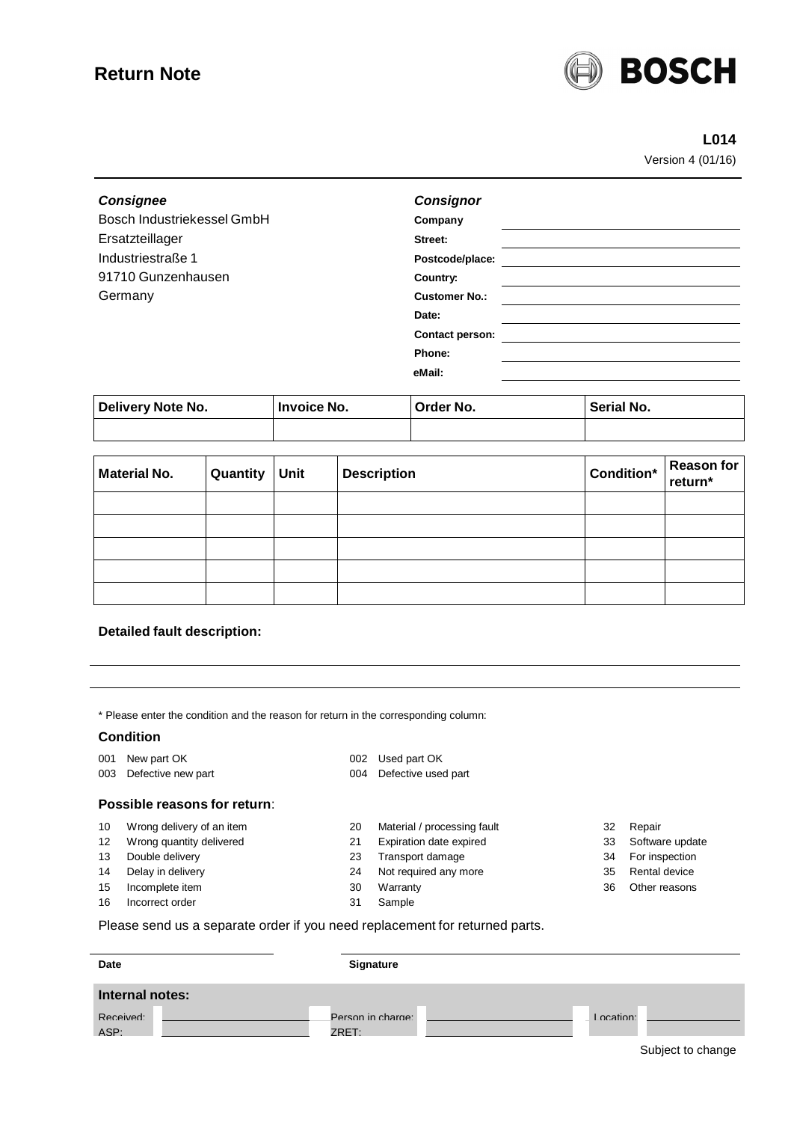# **Return Note**



# **L014**

Version 4 (01/16)

| <b>Consignee</b>           | <b>Consignor</b>       |
|----------------------------|------------------------|
| Bosch Industriekessel GmbH | Company                |
| Ersatzteillager            | Street:                |
| Industriestraße 1          | Postcode/place:        |
| 91710 Gunzenhausen         | Country:               |
| Germany                    | <b>Customer No.:</b>   |
|                            | Date:                  |
|                            | <b>Contact person:</b> |
|                            | Phone:                 |
|                            | eMail:                 |
|                            |                        |

| Delivery Note No. | Invoice No. | Order No. | Serial No. |
|-------------------|-------------|-----------|------------|
|                   |             |           |            |

| <b>Material No.</b> | Quantity | Unit | <b>Description</b> | $\left \text{Condition}^*\right \text{Reason for}\left \text{return*}\right $ |  |
|---------------------|----------|------|--------------------|-------------------------------------------------------------------------------|--|
|                     |          |      |                    |                                                                               |  |
|                     |          |      |                    |                                                                               |  |
|                     |          |      |                    |                                                                               |  |
|                     |          |      |                    |                                                                               |  |
|                     |          |      |                    |                                                                               |  |

### **Detailed fault description:**

\* Please enter the condition and the reason for return in the corresponding column:

#### **Condition**

- 001 New part OK 002 Used part OK
- 

#### 003 Defective new part 004 Defective used part

#### **Possible reasons for return**:

- 10 Wrong delivery of an item 20 Material / processing fault 32 Repair
- 12 Wrong quantity delivered 21 Expiration date expired 33 Software update
- 13 Double delivery 23 Transport damage 34 For inspection
- 14 Delay in delivery **24 Not required any more** 35 Rental device
- 
- 16 Incorrect order 16 ample
- 
- 
- 
- 
- 15 Incomplete item 30 Warranty 36 Other reasons
	-
- 
- 
- 
- 
- 

Please send us a separate order if you need replacement for returned parts.

| Date            | Signature         |           |  |
|-----------------|-------------------|-----------|--|
| Internal notes: |                   |           |  |
| Received:       | Person in charge: | Location: |  |
| ASP:            | ZRET.             | _____     |  |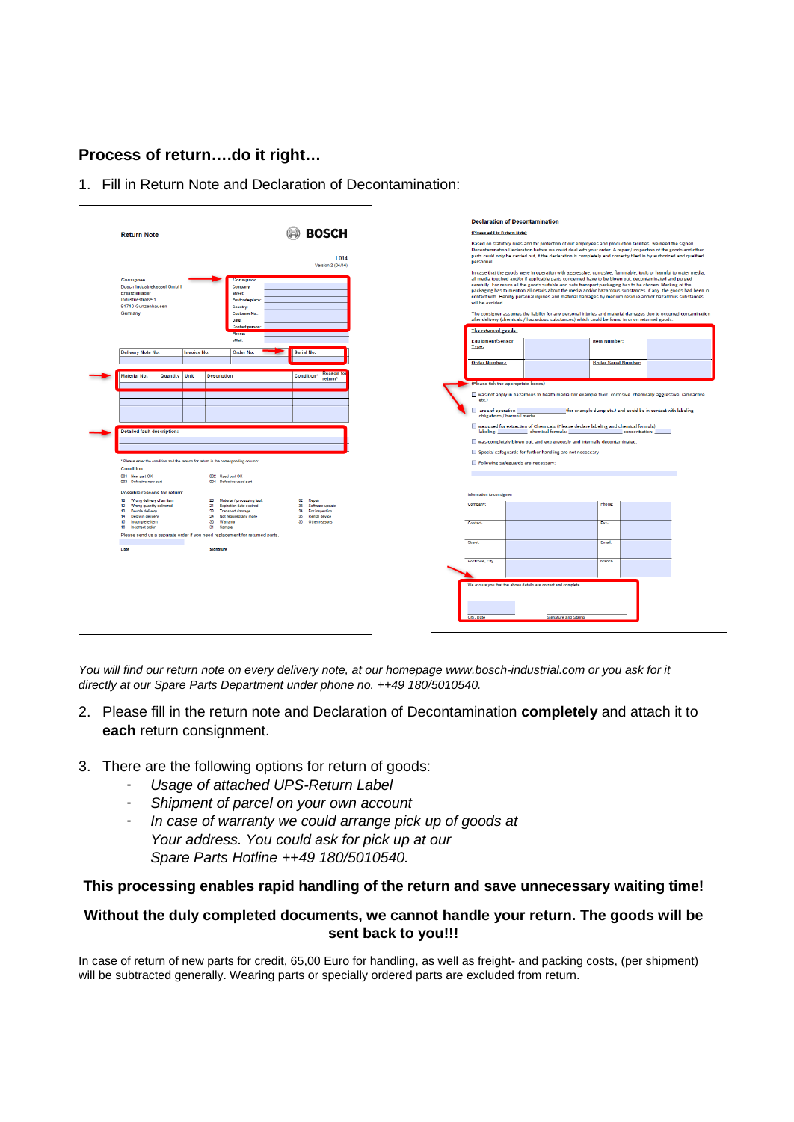# **Process of return….do it right…**

1. Fill in Return Note and Declaration of Decontamination:

| <b>Return Note</b><br>Consignee<br>Bosch Industriekessel GmbH<br>Ersatzteillager<br>Industriestraße 1<br>91710 Gunzenhausen<br>Germany                                                                                                                                                            | <b>BOSCH</b><br>L014<br>Version 2 (04/14)<br>Consignor<br>Company<br>Street:<br>Postcode/place:<br>Country:<br>Customer No.:<br>Date:<br><b>Contact person:</b><br>Phone<br>eMail:                                                                                     | (Please add to Return Note)<br>personnel.<br>will be avoided.<br>The returned goods:<br>Equipment/Sensor | <b>Declaration of Decontamination</b><br>Based on statutory rules and for protection of our employees and production facilities, we need the signed<br>Decontamination Declaration before we could deal with your order. A repair / inspection of the goods and other<br>parts could only be carried out, if the declaration is completely and correctly filled in by authorized and qualified<br>In case that the goods were in operation with aggressive, corrosive, flammable, toxic or harmful to water media,<br>all media touched and/or if applicable parts concerned have to be blown out, decontaminated and purged<br>carefully. For return all the goods suitable and safe transport packaging has to be chosen. Marking of the<br>packaging has to mention all details about the media and/or hazardous substances, if any, the goods had been in<br>contact with. Hereby personal injuries and material damages by medium residue and/or hazardous substances<br>The consigner assumes the liability for any personal injuries and material damages due to occurred contamination<br>after delivery (chemicals / hazardous substances) which could be found in or on returned goods.<br><b>Item Number:</b> |
|---------------------------------------------------------------------------------------------------------------------------------------------------------------------------------------------------------------------------------------------------------------------------------------------------|------------------------------------------------------------------------------------------------------------------------------------------------------------------------------------------------------------------------------------------------------------------------|----------------------------------------------------------------------------------------------------------|--------------------------------------------------------------------------------------------------------------------------------------------------------------------------------------------------------------------------------------------------------------------------------------------------------------------------------------------------------------------------------------------------------------------------------------------------------------------------------------------------------------------------------------------------------------------------------------------------------------------------------------------------------------------------------------------------------------------------------------------------------------------------------------------------------------------------------------------------------------------------------------------------------------------------------------------------------------------------------------------------------------------------------------------------------------------------------------------------------------------------------------------------------------------------------------------------------------------------|
| Delivery Note No.<br><b>Invoice No.</b>                                                                                                                                                                                                                                                           | Serial No.<br>Order No.                                                                                                                                                                                                                                                | Type:<br><b>Order Number.:</b>                                                                           | <b>Boiler Serial Number:</b>                                                                                                                                                                                                                                                                                                                                                                                                                                                                                                                                                                                                                                                                                                                                                                                                                                                                                                                                                                                                                                                                                                                                                                                             |
| <b>Detailed fault description:</b><br>* Please enter the condition and the reason for return in the corresponding column:<br>Condition<br>001 New part OK                                                                                                                                         | 002 Used part OK                                                                                                                                                                                                                                                       | etc.)<br>area of operation<br>labeling:                                                                  | (Please tick the appropriate boxes)<br>was not apply in hazardous to health media (for example toxic, corrosive, chemically aggressive, radioactive<br>(for example dump etc.) and could be in contact with labeling<br>obligations / harmful media<br>was used for extraction of Chemicals (Please declare labeling and chemical formula)<br>chemical formula:<br>concentration:<br>was completely blown out, and extraneously and internally decontaminated.<br>Special safeguards for further handling are not necessary<br>Following safeguards are necessary:                                                                                                                                                                                                                                                                                                                                                                                                                                                                                                                                                                                                                                                       |
| 003 Defective new part<br>Possible reasons for return:<br>10 Wrong delivery of an item<br>Wrong quantity delivered<br>12<br>13 Double delivery<br>14 Delay in delivery<br>15 Incomplete item<br>16 Incorrect order<br>Please send us a separate order if you need replacement for returned parts. | 004 Defective used part<br>20 Material / processing fault<br>32 Repair<br>21 Expiration date expired<br>33 Software update<br>23 Transport damage<br>34 For inspection<br>24 Not required any more<br>35 Rental device<br>30 Warranty<br>38 Other reasons<br>31 Sample | Information to consigner:<br>Company<br>Contact:                                                         | Phone:<br>Fax:                                                                                                                                                                                                                                                                                                                                                                                                                                                                                                                                                                                                                                                                                                                                                                                                                                                                                                                                                                                                                                                                                                                                                                                                           |
| Date<br>Signature                                                                                                                                                                                                                                                                                 |                                                                                                                                                                                                                                                                        | Street<br>Postcode, City<br>City, Date                                                                   | Email:<br>branch<br>We assure you that the above details are correct and complete.<br><b>Signature and Stamp</b>                                                                                                                                                                                                                                                                                                                                                                                                                                                                                                                                                                                                                                                                                                                                                                                                                                                                                                                                                                                                                                                                                                         |

*You will find our return note on every delivery note, at our homepage www.bosch-industrial.com or you ask for it directly at our Spare Parts Department under phone no. ++49 180/5010540.*

- 2. Please fill in the return note and Declaration of Decontamination **completely** and attach it to **each** return consignment.
- 3. There are the following options for return of goods:
	- *Usage of attached UPS-Return Label*
	- *Shipment of parcel on your own account*
	- *In case of warranty we could arrange pick up of goods at Your address. You could ask for pick up at our Spare Parts Hotline ++49 180/5010540.*

### **This processing enables rapid handling of the return and save unnecessary waiting time!**

## **Without the duly completed documents, we cannot handle your return. The goods will be sent back to you!!!**

In case of return of new parts for credit, 65,00 Euro for handling, as well as freight- and packing costs, (per shipment) will be subtracted generally. Wearing parts or specially ordered parts are excluded from return.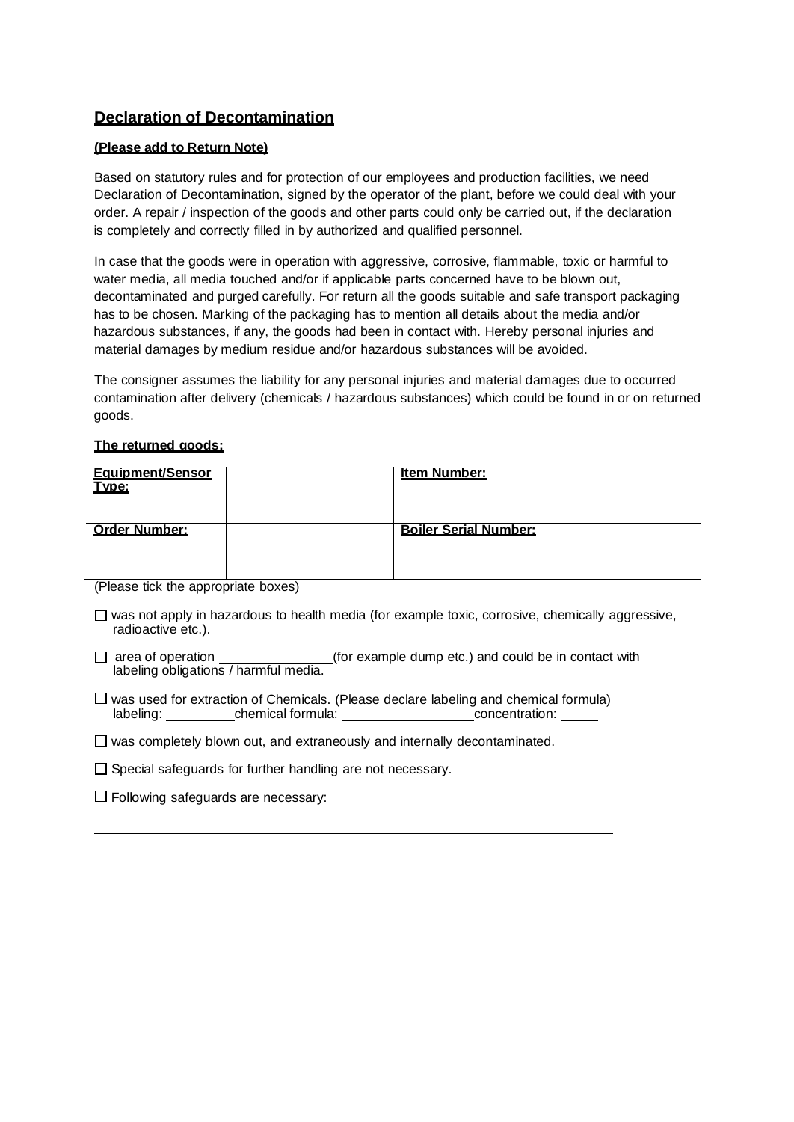# **Declaration of Decontamination**

### **(Please add to Return Note)**

Based on statutory rules and for protection of our employees and production facilities, we need Declaration of Decontamination, signed by the operator of the plant, before we could deal with your order. A repair / inspection of the goods and other parts could only be carried out, if the declaration is completely and correctly filled in by authorized and qualified personnel.

In case that the goods were in operation with aggressive, corrosive, flammable, toxic or harmful to water media, all media touched and/or if applicable parts concerned have to be blown out, decontaminated and purged carefully. For return all the goods suitable and safe transport packaging has to be chosen. Marking of the packaging has to mention all details about the media and/or hazardous substances, if any, the goods had been in contact with. Hereby personal injuries and material damages by medium residue and/or hazardous substances will be avoided.

The consigner assumes the liability for any personal injuries and material damages due to occurred contamination after delivery (chemicals / hazardous substances) which could be found in or on returned goods.

### **The returned goods:**

| Equipment/Sensor<br>Type:                                                                 |          | Item Number:                 |  |
|-------------------------------------------------------------------------------------------|----------|------------------------------|--|
| <b>Order Number:</b><br>$\sim$<br>$\sim$ $\sim$ $\sim$ $\sim$ $\sim$ $\sim$ $\sim$ $\sim$ | $\cdots$ | <b>Boiler Serial Number:</b> |  |

(Please tick the appropriate boxes)

- $\square$  was not apply in hazardous to health media (for example toxic, corrosive, chemically aggressive, radioactive etc.).
- □ area of operation \_\_\_\_\_\_\_\_\_\_\_\_\_\_\_(for example dump etc.) and could be in contact with labeling obligations / harmful media.
- $\Box$  was used for extraction of Chemicals. (Please declare labeling and chemical formula) labeling: chemical formula: concentration:

 $\Box$  was completely blown out, and extraneously and internally decontaminated.

- $\Box$  Special safeguards for further handling are not necessary.
- $\square$  Following safeguards are necessary: